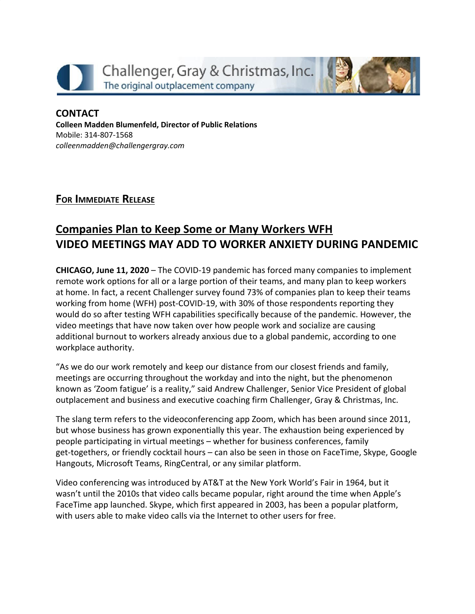



## **CONTACT Colleen Madden Blumenfeld, Director of Public Relations** Mobile: 314-807-1568 *[colleenmadden@challengergray.com](mailto:colleenmadden@challengergray.com)*

**FOR IMMEDIATE RELEASE**

## **Companies Plan to Keep Some or Many Workers WFH VIDEO MEETINGS MAY ADD TO WORKER ANXIETY DURING PANDEMIC**

**CHICAGO, June 11, 2020** – The COVID-19 pandemic has forced many companies to implement remote work options for all or a large portion of their teams, and many plan to keep workers at home. In fact, a recent Challenger survey found 73% of companies plan to keep their teams working from home (WFH) post-COVID-19, with 30% of those respondents reporting they would do so after testing WFH capabilities specifically because of the pandemic. However, the video meetings that have now taken over how people work and socialize are causing additional burnout to workers already anxious due to a global pandemic, according to one workplace authority.

"As we do our work remotely and keep our distance from our closest friends and family, meetings are occurring throughout the workday and into the night, but the phenomenon known as 'Zoom fatigue' is a reality," said Andrew Challenger, Senior Vice President of global outplacement and business and executive coaching firm Challenger, Gray & Christmas, Inc.

The slang term refers to the videoconferencing app Zoom, which has been around since 2011, but whose business has grown exponentially this year. The exhaustion being experienced by people participating in virtual meetings – whether for business conferences, family get-togethers, or friendly cocktail hours – can also be seen in those on FaceTime, Skype, Google Hangouts, Microsoft Teams, RingCentral, or any similar platform.

Video conferencing was introduced by AT&T at the New York World's Fair in 1964, but it wasn't until the 2010s that video calls became popular, right around the time when Apple's FaceTime app launched. Skype, which first appeared in 2003, has been a popular platform, with users able to make video calls via the Internet to other users for free.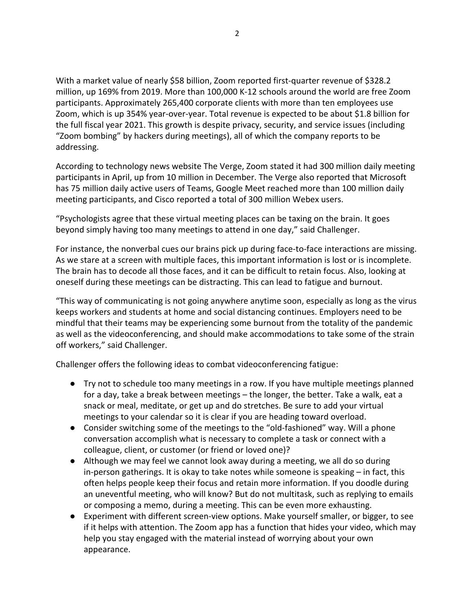With a market value of nearly \$58 billion, Zoom reported first-quarter revenue of \$328.2 million, up 169% from 2019. More than 100,000 K-12 schools around the world are free Zoom participants. Approximately 265,400 corporate clients with more than ten employees use Zoom, which is up 354% year-over-year. Total revenue is expected to be about \$1.8 billion for the full fiscal year 2021. This growth is despite privacy, security, and service issues (including "Zoom bombing" by hackers during meetings), all of which the company reports to be addressing.

According to technology news website The Verge, Zoom stated it had 300 million daily meeting participants in April, up from 10 million in December. The Verge also reported that Microsoft has 75 million daily active users of Teams, Google Meet reached more than 100 million daily meeting participants, and Cisco reported a total of 300 million Webex users.

"Psychologists agree that these virtual meeting places can be taxing on the brain. It goes beyond simply having too many meetings to attend in one day," said Challenger.

For instance, the nonverbal cues our brains pick up during face-to-face interactions are missing. As we stare at a screen with multiple faces, this important information is lost or is incomplete. The brain has to decode all those faces, and it can be difficult to retain focus. Also, looking at oneself during these meetings can be distracting. This can lead to fatigue and burnout.

"This way of communicating is not going anywhere anytime soon, especially as long as the virus keeps workers and students at home and social distancing continues. Employers need to be mindful that their teams may be experiencing some burnout from the totality of the pandemic as well as the videoconferencing, and should make accommodations to take some of the strain off workers," said Challenger.

Challenger offers the following ideas to combat videoconferencing fatigue:

- Try not to schedule too many meetings in a row. If you have multiple meetings planned for a day, take a break between meetings – the longer, the better. Take a walk, eat a snack or meal, meditate, or get up and do stretches. Be sure to add your virtual meetings to your calendar so it is clear if you are heading toward overload.
- Consider switching some of the meetings to the "old-fashioned" way. Will a phone conversation accomplish what is necessary to complete a task or connect with a colleague, client, or customer (or friend or loved one)?
- Although we may feel we cannot look away during a meeting, we all do so during in-person gatherings. It is okay to take notes while someone is speaking – in fact, this often helps people keep their focus and retain more information. If you doodle during an uneventful meeting, who will know? But do not multitask, such as replying to emails or composing a memo, during a meeting. This can be even more exhausting.
- Experiment with different screen-view options. Make yourself smaller, or bigger, to see if it helps with attention. The Zoom app has a function that hides your video, which may help you stay engaged with the material instead of worrying about your own appearance.